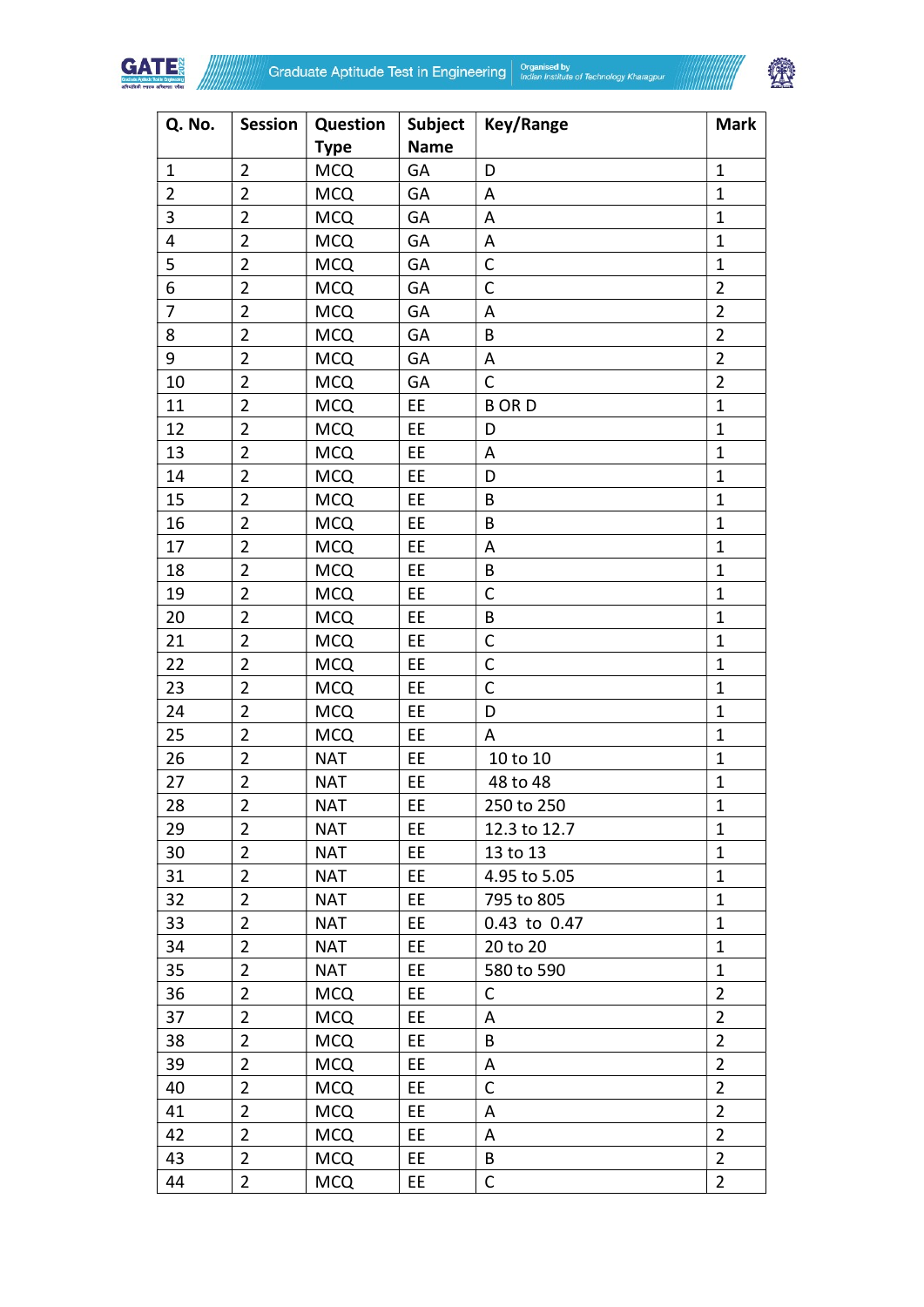



| Q. No.                  | <b>Session</b> | Question    | Subject     | <b>Key/Range</b> | <b>Mark</b>    |
|-------------------------|----------------|-------------|-------------|------------------|----------------|
|                         |                | <b>Type</b> | <b>Name</b> |                  |                |
| $\mathbf{1}$            | $\overline{2}$ | <b>MCQ</b>  | GA          | D                | $\mathbf{1}$   |
| $\overline{2}$          | $\overline{2}$ | <b>MCQ</b>  | GA          | A                | $\mathbf{1}$   |
| 3                       | $\overline{2}$ | <b>MCQ</b>  | GA          | A                | $\mathbf{1}$   |
| $\overline{\mathbf{4}}$ | $\overline{2}$ | <b>MCQ</b>  | GA          | Α                | $\mathbf{1}$   |
| 5                       | $\overline{2}$ | <b>MCQ</b>  | GA          | $\mathsf C$      | $\mathbf{1}$   |
| 6                       | $\overline{2}$ | <b>MCQ</b>  | GA          | C                | $\overline{2}$ |
| $\overline{7}$          | $\overline{2}$ | <b>MCQ</b>  | GA          | A                | $\overline{2}$ |
| 8                       | $\overline{2}$ | <b>MCQ</b>  | GA          | B                | $\overline{2}$ |
| 9                       | $\overline{2}$ | <b>MCQ</b>  | GA          | A                | $\overline{2}$ |
| 10                      | $\overline{2}$ | <b>MCQ</b>  | GA          | C                | $\overline{2}$ |
| 11                      | $\overline{2}$ | <b>MCQ</b>  | EE          | <b>BORD</b>      | $\mathbf{1}$   |
| 12                      | $\overline{2}$ | <b>MCQ</b>  | EE          | D                | $\mathbf{1}$   |
| 13                      | $\overline{2}$ | <b>MCQ</b>  | EE          | A                | $\mathbf{1}$   |
| 14                      | $\overline{2}$ | <b>MCQ</b>  | EE          | D                | $\mathbf{1}$   |
| 15                      | $\overline{2}$ | <b>MCQ</b>  | EE          | B                | $\mathbf{1}$   |
| 16                      | $\overline{2}$ | <b>MCQ</b>  | EE          | B                | $\mathbf{1}$   |
| 17                      | $\overline{2}$ | <b>MCQ</b>  | EE          | A                | $\mathbf{1}$   |
| 18                      | $\overline{2}$ | <b>MCQ</b>  | EE          | B                | $\mathbf{1}$   |
| 19                      | $\overline{2}$ | <b>MCQ</b>  | EE          | C                | $\mathbf{1}$   |
| 20                      | $\overline{2}$ | <b>MCQ</b>  | EE          | B                | $\mathbf{1}$   |
| 21                      | $\overline{2}$ | <b>MCQ</b>  | EE          | C                | $\mathbf{1}$   |
| 22                      | $\overline{2}$ | <b>MCQ</b>  | <b>EE</b>   | $\mathsf C$      | $\mathbf{1}$   |
| 23                      | $\overline{2}$ | <b>MCQ</b>  | EE          | $\mathsf{C}$     | $\mathbf{1}$   |
| 24                      | $\overline{2}$ | <b>MCQ</b>  | EE          | D                | $\mathbf{1}$   |
| 25                      | $\overline{2}$ | <b>MCQ</b>  | EE          | A                | $\mathbf{1}$   |
| 26                      | $\overline{2}$ | <b>NAT</b>  | EE          | 10 to 10         | $\mathbf{1}$   |
| 27                      | $\overline{2}$ | <b>NAT</b>  | EE          | 48 to 48         | $\mathbf{1}$   |
| 28                      | $\overline{2}$ | <b>NAT</b>  | EE          | 250 to 250       | $\mathbf 1$    |
| 29                      | $\overline{2}$ | <b>NAT</b>  | EE          | 12.3 to 12.7     | $\mathbf{1}$   |
| 30                      | $\overline{2}$ | <b>NAT</b>  | EE          | 13 to 13         | $\mathbf{1}$   |
| 31                      | $\overline{2}$ | <b>NAT</b>  | EE          | 4.95 to 5.05     | $\mathbf{1}$   |
| 32                      | $\overline{2}$ | <b>NAT</b>  | EE          | 795 to 805       | $\mathbf{1}$   |
| 33                      | $\overline{2}$ | <b>NAT</b>  | EE          | 0.43 to 0.47     | $\mathbf{1}$   |
| 34                      | $\overline{2}$ | <b>NAT</b>  | EE          | 20 to 20         | $\mathbf{1}$   |
| 35                      | $\overline{2}$ | <b>NAT</b>  | EE          | 580 to 590       | $\mathbf{1}$   |
| 36                      | $\overline{2}$ | <b>MCQ</b>  | EE          | С                | $\overline{2}$ |
| 37                      | $\overline{2}$ | <b>MCQ</b>  | EE.         | Α                | $\overline{2}$ |
| 38                      | $\overline{2}$ | <b>MCQ</b>  | EE          | B                | $\overline{2}$ |
| 39                      | $\overline{2}$ | <b>MCQ</b>  | EE.         | A                | $\overline{2}$ |
| 40                      | $\overline{2}$ | <b>MCQ</b>  | EE          | C                | $\overline{2}$ |
| 41                      | $\overline{2}$ | <b>MCQ</b>  | EE.         | A                | $\overline{2}$ |
| 42                      | $\overline{2}$ | <b>MCQ</b>  | EE          | A                | $\overline{2}$ |
| 43                      | $\overline{2}$ | <b>MCQ</b>  | EE.         | B                | $\overline{2}$ |
| 44                      | $\overline{2}$ | <b>MCQ</b>  | EE          | C                | $\overline{2}$ |